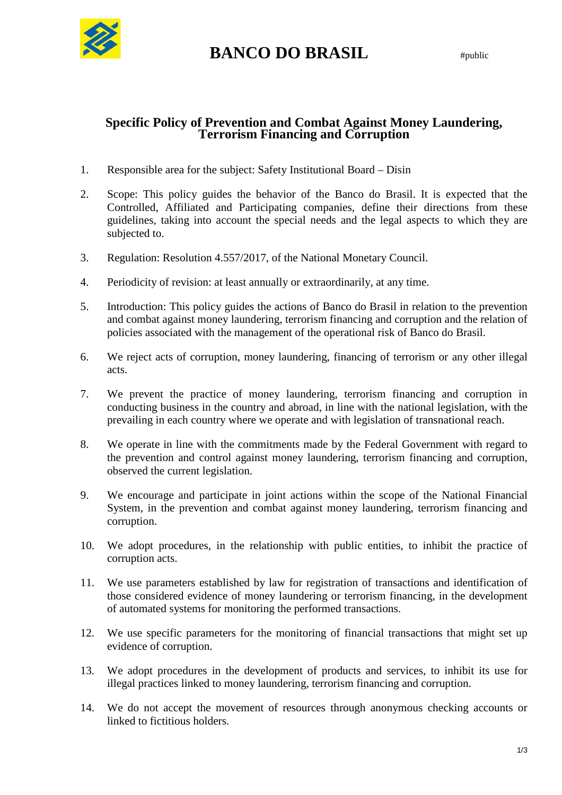

## **BANCO DO BRASIL** #public

## **Specific Policy of Prevention and Combat Against Money Laundering, Terrorism Financing and Corruption**

- 1. Responsible area for the subject: Safety Institutional Board Disin
- 2. Scope: This policy guides the behavior of the Banco do Brasil. It is expected that the Controlled, Affiliated and Participating companies, define their directions from these guidelines, taking into account the special needs and the legal aspects to which they are subjected to.
- 3. Regulation: Resolution 4.557/2017, of the National Monetary Council.
- 4. Periodicity of revision: at least annually or extraordinarily, at any time.
- 5. Introduction: This policy guides the actions of Banco do Brasil in relation to the prevention and combat against money laundering, terrorism financing and corruption and the relation of policies associated with the management of the operational risk of Banco do Brasil.
- 6. We reject acts of corruption, money laundering, financing of terrorism or any other illegal acts.
- 7. We prevent the practice of money laundering, terrorism financing and corruption in conducting business in the country and abroad, in line with the national legislation, with the prevailing in each country where we operate and with legislation of transnational reach.
- 8. We operate in line with the commitments made by the Federal Government with regard to the prevention and control against money laundering, terrorism financing and corruption, observed the current legislation.
- 9. We encourage and participate in joint actions within the scope of the National Financial System, in the prevention and combat against money laundering, terrorism financing and corruption.
- 10. We adopt procedures, in the relationship with public entities, to inhibit the practice of corruption acts.
- 11. We use parameters established by law for registration of transactions and identification of those considered evidence of money laundering or terrorism financing, in the development of automated systems for monitoring the performed transactions.
- 12. We use specific parameters for the monitoring of financial transactions that might set up evidence of corruption.
- 13. We adopt procedures in the development of products and services, to inhibit its use for illegal practices linked to money laundering, terrorism financing and corruption.
- 14. We do not accept the movement of resources through anonymous checking accounts or linked to fictitious holders.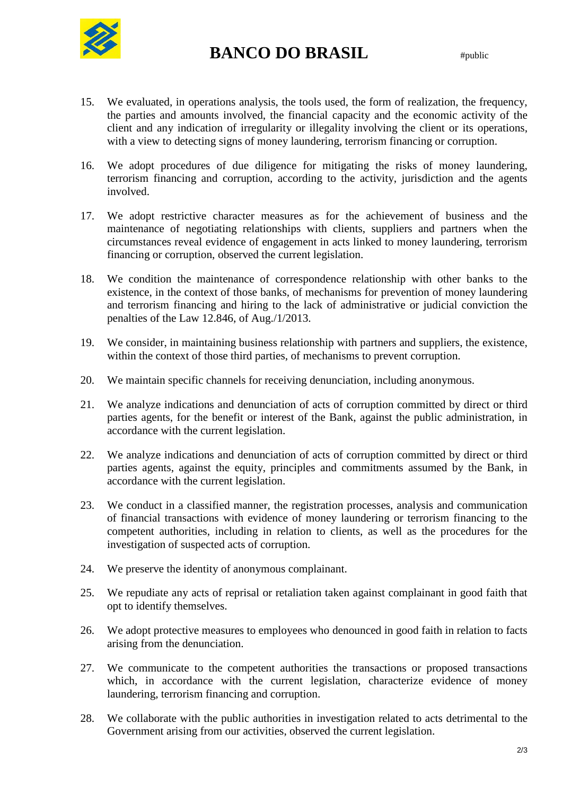

## **BANCO DO BRASIL** #public

- 15. We evaluated, in operations analysis, the tools used, the form of realization, the frequency, the parties and amounts involved, the financial capacity and the economic activity of the client and any indication of irregularity or illegality involving the client or its operations, with a view to detecting signs of money laundering, terrorism financing or corruption.
- 16. We adopt procedures of due diligence for mitigating the risks of money laundering, terrorism financing and corruption, according to the activity, jurisdiction and the agents involved.
- 17. We adopt restrictive character measures as for the achievement of business and the maintenance of negotiating relationships with clients, suppliers and partners when the circumstances reveal evidence of engagement in acts linked to money laundering, terrorism financing or corruption, observed the current legislation.
- 18. We condition the maintenance of correspondence relationship with other banks to the existence, in the context of those banks, of mechanisms for prevention of money laundering and terrorism financing and hiring to the lack of administrative or judicial conviction the penalties of the Law 12.846, of Aug./1/2013.
- 19. We consider, in maintaining business relationship with partners and suppliers, the existence, within the context of those third parties, of mechanisms to prevent corruption.
- 20. We maintain specific channels for receiving denunciation, including anonymous.
- 21. We analyze indications and denunciation of acts of corruption committed by direct or third parties agents, for the benefit or interest of the Bank, against the public administration, in accordance with the current legislation.
- 22. We analyze indications and denunciation of acts of corruption committed by direct or third parties agents, against the equity, principles and commitments assumed by the Bank, in accordance with the current legislation.
- 23. We conduct in a classified manner, the registration processes, analysis and communication of financial transactions with evidence of money laundering or terrorism financing to the competent authorities, including in relation to clients, as well as the procedures for the investigation of suspected acts of corruption.
- 24. We preserve the identity of anonymous complainant.
- 25. We repudiate any acts of reprisal or retaliation taken against complainant in good faith that opt to identify themselves.
- 26. We adopt protective measures to employees who denounced in good faith in relation to facts arising from the denunciation.
- 27. We communicate to the competent authorities the transactions or proposed transactions which, in accordance with the current legislation, characterize evidence of money laundering, terrorism financing and corruption.
- 28. We collaborate with the public authorities in investigation related to acts detrimental to the Government arising from our activities, observed the current legislation.